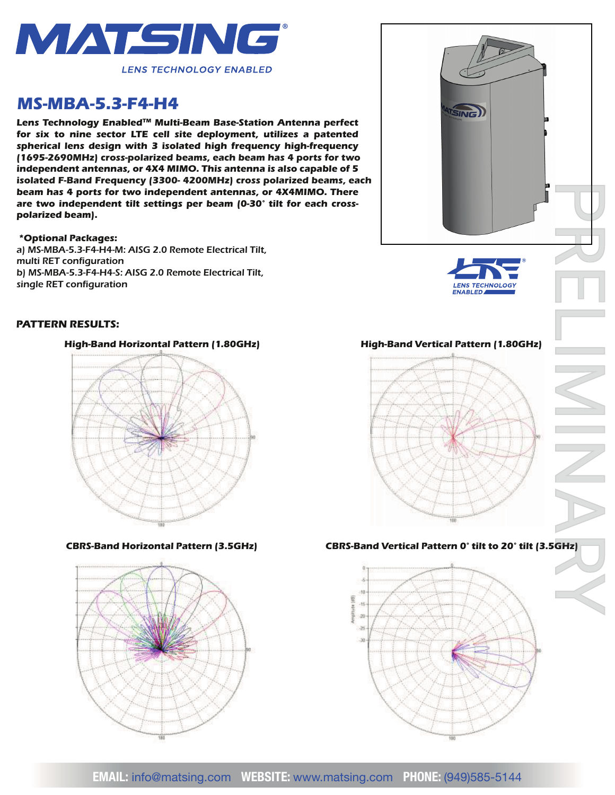

# *MS-MBA-5.3-F4-H4*

*Lens Technology EnabledTM Multi-Beam Base-Station Antenna perfect for six to nine sector LTE cell site deployment, utilizes a patented spherical lens design with 3 isolated high frequency high-frequency (1695-2690MHz) cross-polarized beams, each beam has 4 ports for two independent antennas, or 4X4 MIMO. This antenna is also capable of 5 isolated F-Band Frequency (3300- 4200MHz) cross polarized beams, each beam has 4 ports for two independent antennas, or 4X4MIMO. There are two independent tilt settings per beam (0-30° tilt for each crosspolarized beam).*

### *\*Optional Packages:*

*a) MS-MBA-5.3-F4-H4-M: AISG 2.0 Remote Electrical Tilt, multi RET conguration b) MS-MBA-5.3-F4-H4-S: AISG 2.0 Remote Electrical Tilt, single RET conguration*



**ATSING** 

## *PATTERN RESULTS:*

### *High-Band Horizontal Pattern (1.80GHz) High-Band Vertical Pattern (1.80GHz)*







### *CBRS-Band Horizontal Pattern (3.5GHz) CBRS-Band Vertical Pattern 0° tilt to 20° tilt (3.5GHz)*